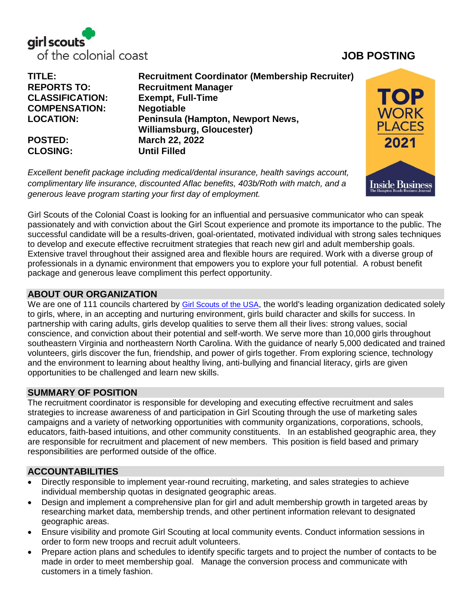

**TITLE: Recruitment Coordinator (Membership Recruiter) REPORTS TO: Recruitment Manager CLASSIFICATION: Exempt, Full-Time COMPENSATION: Negotiable LOCATION: Peninsula (Hampton, Newport News, Williamsburg, Gloucester) POSTED: March 22, 2022 CLOSING: Until Filled**

*Excellent benefit package including medical/dental insurance, health savings account, complimentary life insurance, discounted Aflac benefits, 403b/Roth with match, and a generous leave program starting your first day of employment.* 



Girl Scouts of the Colonial Coast is looking for an influential and persuasive communicator who can speak passionately and with conviction about the Girl Scout experience and promote its importance to the public. The successful candidate will be a results-driven, goal-orientated, motivated individual with strong sales techniques to develop and execute effective recruitment strategies that reach new girl and adult membership goals. Extensive travel throughout their assigned area and flexible hours are required. Work with a diverse group of professionals in a dynamic environment that empowers you to explore your full potential. A robust benefit package and generous leave compliment this perfect opportunity.

### **ABOUT OUR ORGANIZATION**

We are one of 111 councils chartered by [Girl Scouts of the USA](http://www.girlscouts.org/), the world's leading organization dedicated solely to girls, where, in an accepting and nurturing environment, girls build character and skills for success. In partnership with caring adults, girls develop qualities to serve them all their lives: strong values, social conscience, and conviction about their potential and self-worth. We serve more than 10,000 girls throughout southeastern Virginia and northeastern North Carolina. With the guidance of nearly 5,000 dedicated and trained volunteers, girls discover the fun, friendship, and power of girls together. From exploring science, technology and the environment to learning about healthy living, anti-bullying and financial literacy, girls are given opportunities to be challenged and learn new skills.

# **SUMMARY OF POSITION**

The recruitment coordinator is responsible for developing and executing effective recruitment and sales strategies to increase awareness of and participation in Girl Scouting through the use of marketing sales campaigns and a variety of networking opportunities with community organizations, corporations, schools, educators, faith-based intuitions, and other community constituents. In an established geographic area, they are responsible for recruitment and placement of new members. This position is field based and primary responsibilities are performed outside of the office.

### **ACCOUNTABILITIES**

- Directly responsible to implement year-round recruiting, marketing, and sales strategies to achieve individual membership quotas in designated geographic areas.
- Design and implement a comprehensive plan for girl and adult membership growth in targeted areas by researching market data, membership trends, and other pertinent information relevant to designated geographic areas.
- Ensure visibility and promote Girl Scouting at local community events. Conduct information sessions in order to form new troops and recruit adult volunteers.
- Prepare action plans and schedules to identify specific targets and to project the number of contacts to be made in order to meet membership goal. Manage the conversion process and communicate with customers in a timely fashion.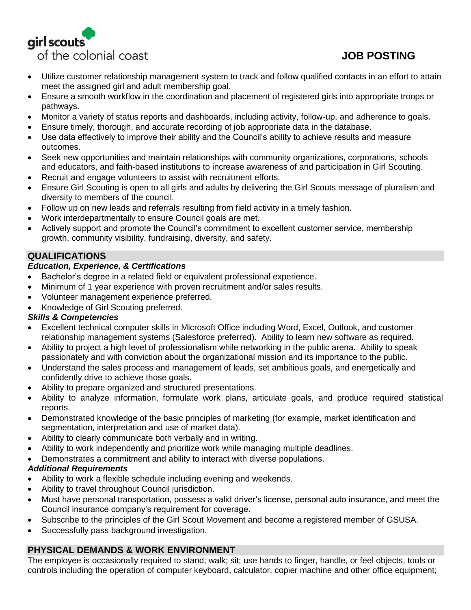

- Utilize customer relationship management system to track and follow qualified contacts in an effort to attain meet the assigned girl and adult membership goal.
- Ensure a smooth workflow in the coordination and placement of registered girls into appropriate troops or pathways.
- Monitor a variety of status reports and dashboards, including activity, follow-up, and adherence to goals.
- Ensure timely, thorough, and accurate recording of job appropriate data in the database.
- Use data effectively to improve their ability and the Council's ability to achieve results and measure outcomes.
- Seek new opportunities and maintain relationships with community organizations, corporations, schools and educators, and faith-based institutions to increase awareness of and participation in Girl Scouting.
- Recruit and engage volunteers to assist with recruitment efforts.
- Ensure Girl Scouting is open to all girls and adults by delivering the Girl Scouts message of pluralism and diversity to members of the council.
- Follow up on new leads and referrals resulting from field activity in a timely fashion.
- Work interdepartmentally to ensure Council goals are met.
- Actively support and promote the Council's commitment to excellent customer service, membership growth, community visibility, fundraising, diversity, and safety.

# **QUALIFICATIONS**

### *Education, Experience, & Certifications*

- Bachelor's degree in a related field or equivalent professional experience.
- Minimum of 1 year experience with proven recruitment and/or sales results.
- Volunteer management experience preferred.
- Knowledge of Girl Scouting preferred.

### *Skills & Competencies*

- Excellent technical computer skills in Microsoft Office including Word, Excel, Outlook, and customer relationship management systems (Salesforce preferred). Ability to learn new software as required.
- Ability to project a high level of professionalism while networking in the public arena. Ability to speak passionately and with conviction about the organizational mission and its importance to the public.
- Understand the sales process and management of leads, set ambitious goals, and energetically and confidently drive to achieve those goals.
- Ability to prepare organized and structured presentations.
- Ability to analyze information, formulate work plans, articulate goals, and produce required statistical reports.
- Demonstrated knowledge of the basic principles of marketing (for example, market identification and segmentation, interpretation and use of market data).
- Ability to clearly communicate both verbally and in writing.
- Ability to work independently and prioritize work while managing multiple deadlines.
- Demonstrates a commitment and ability to interact with diverse populations.

### *Additional Requirements*

- Ability to work a flexible schedule including evening and weekends.
- Ability to travel throughout Council jurisdiction.
- Must have personal transportation, possess a valid driver's license, personal auto insurance, and meet the Council insurance company's requirement for coverage.
- Subscribe to the principles of the Girl Scout Movement and become a registered member of GSUSA.
- Successfully pass background investigation.

# **PHYSICAL DEMANDS & WORK ENVIRONMENT**

The employee is occasionally required to stand; walk; sit; use hands to finger, handle, or feel objects, tools or controls including the operation of computer keyboard, calculator, copier machine and other office equipment;